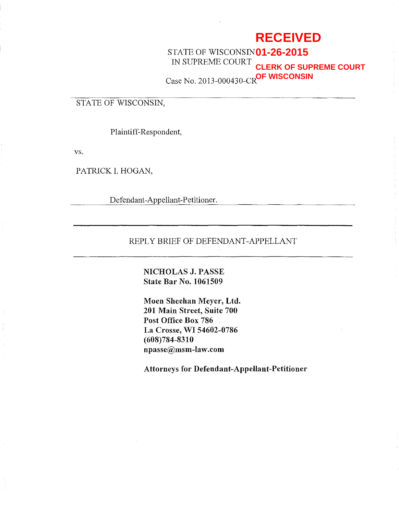# **RECEIVED**

STATE OF WISCONSIN **01-26-2015** IN SUPREME COURT Case No. 2013-000430-CR **OF WISCONSINCLERK OF SUPREME COURT**

## STATE OF WISCONSIN,

Plaintiff-Respondent,

vs.

PATRICK I. HOGAN,

Defendant-Appellant-Petitioner.

## REPLY BRIEF OF DEFENDANT-APPELLANT

NICHOLAS J. PASSE State Bar No. 1061509

Moen Sheehan Meyer, Ltd. 201 Main Street, Suite 700 Post Office Box 786 La Crosse, WI 54602-0786 (608)784-8310 npasse@msm-law.com

Attorneys for Defendant-Appellant-Petitioner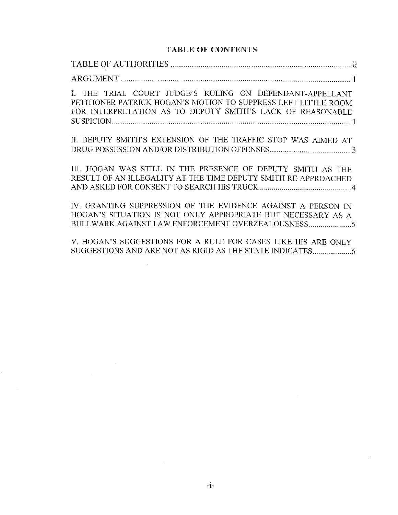## TABLE OF CONTENTS

| I. THE TRIAL COURT JUDGE'S RULING ON DEFENDANT-APPELLANT<br>PETITIONER PATRICK HOGAN'S MOTION TO SUPPRESS LEFT LITTLE ROOM<br>FOR INTERPRETATION AS TO DEPUTY SMITH'S LACK OF REASONABLE |
|------------------------------------------------------------------------------------------------------------------------------------------------------------------------------------------|
| II. DEPUTY SMITH'S EXTENSION OF THE TRAFFIC STOP WAS AIMED AT                                                                                                                            |
| III. HOGAN WAS STILL IN THE PRESENCE OF DEPUTY SMITH AS THE<br>RESULT OF AN ILLEGALITY AT THE TIME DEPUTY SMITH RE-APPROACHED                                                            |
| IV. GRANTING SUPPRESSION OF THE EVIDENCE AGAINST A PERSON IN<br>HOGAN'S SITUATION IS NOT ONLY APPROPRIATE BUT NECESSARY AS A<br>BULLWARK AGAINST LAW ENFORCEMENT OVERZEALOUSNESS         |
| V. HOGAN'S SUGGESTIONS FOR A RULE FOR CASES LIKE HIS ARE ONLY                                                                                                                            |

 $\label{eq:2.1} \frac{1}{\sqrt{2}}\left(\frac{1}{\sqrt{2}}\right)^{2} \left(\frac{1}{\sqrt{2}}\right)^{2} \left(\frac{1}{\sqrt{2}}\right)^{2} \left(\frac{1}{\sqrt{2}}\right)^{2} \left(\frac{1}{\sqrt{2}}\right)^{2} \left(\frac{1}{\sqrt{2}}\right)^{2} \left(\frac{1}{\sqrt{2}}\right)^{2} \left(\frac{1}{\sqrt{2}}\right)^{2} \left(\frac{1}{\sqrt{2}}\right)^{2} \left(\frac{1}{\sqrt{2}}\right)^{2} \left(\frac{1}{\sqrt{2}}\right)^{2} \left(\$ 

 $\label{eq:2.1} \frac{1}{\sqrt{2\pi}}\int_{0}^{\infty}\frac{1}{\sqrt{2\pi}}\left(\frac{1}{\sqrt{2\pi}}\right)^{2\alpha} \frac{1}{\sqrt{2\pi}}\int_{0}^{\infty}\frac{1}{\sqrt{2\pi}}\frac{1}{\sqrt{2\pi}}\frac{1}{\sqrt{2\pi}}\frac{1}{\sqrt{2\pi}}\frac{1}{\sqrt{2\pi}}\frac{1}{\sqrt{2\pi}}\frac{1}{\sqrt{2\pi}}\frac{1}{\sqrt{2\pi}}\frac{1}{\sqrt{2\pi}}\frac{1}{\sqrt{2\pi}}\frac{1}{\sqrt{2\pi}}\frac{$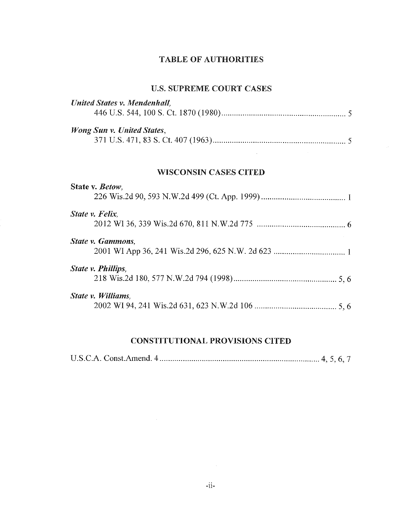## TABLE OF AUTHORITIES

## U.S. SUPREME COURT CASES

| <b>United States v. Mendenhall,</b> |
|-------------------------------------|
| Wong Sun v. United States,          |
| <b>WISCONSIN CASES CITED</b>        |
| State v. Betow,                     |
| State v. Felix,                     |
| <b>State v. Gammons.</b>            |
| State v. Phillips,                  |
| State v. Williams,                  |

## CONSTITUTIONAL PROVISIONS CITED

|--|--|--|--|--|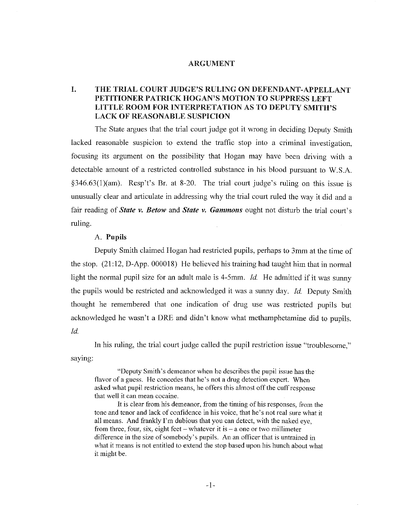#### ARGUMENT

## I. THE TRIAL COURT JUDGE'S RULING ON DEFENDANT-APPELLANT PETITIONER PATRICK HOGAN'S MOTION TO SUPPRESS LEFT LITTLE ROOM FOR INTERPRETATION AS TO DEPUTY SMITH'S LACK OF REASONABLE SUSPICION

The State argues that the trial court judge got it wrong in deciding Deputy Smith lacked reasonable suspicion to extend the traffic stop into a criminal investigation, focusing its argument on the possibility that Hogan may have been driving with a detectable amount of a restricted controlled substance in his blood pursuant to W.S.A.  $\S 346.63(1)(am)$ . Resp't's Br. at 8-20. The trial court judge's ruling on this issue is unusually clear and articulate in addressing why the trial court ruled the way it did and a fair reading of *State v. Betow* and *State v. Gammons* ought not disturb the trial court's ruling.

#### A. Pupils

Deputy Smith claimed Hogan had restricted pupils, perhaps to 3mm at the time of the stop. (21:12, D-App. 000018) He believed his training had taught him that in normal light the normal pupil size for an adult male is 4-5mm. *Id* He admitted if it was sunny the pupils would be restricted and acknowledged it was a sunny day. *Id* Deputy Smith thought he remembered that one indication of drug use was restricted pupils but acknowledged he wasn't a DRE and didn't know what methamphetamine did to pupils. *Id.* 

saying: In his ruling, the trial court judge called the pupil restriction issue "troublesome,"

"Deputy Smith's demeanor when he describes the pupil issue has the flavor of a guess. He concedes that he's not a drug detection expert. When asked what pupil restriction means, he offers this almost off the cuff response that well it can mean cocaine.

It is clear from his demeanor, from the timing of his responses, from the tone and tenor and lack of confidence in his voice, that he's not real sure what it all means. And frankly I'm dubious that you can detect, with the naked eye, from three, four, six, eight feet – whatever it is – a one or two millimeter difference in the size of somebody's pupils. An an officer that is untrained in what it means is not entitled to extend the stop based upon his hunch about what it might be.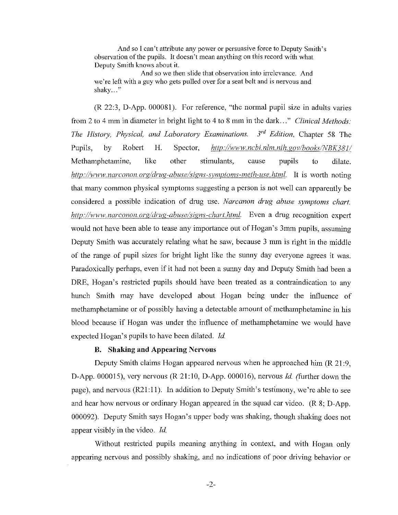And so I can't attribute any power or persuasive force to Deputy Smith's observation of the pupils. It doesn't mean anything on this record with what Deputy Smith knows about it.

And so we then slide that observation into irrelevance. And we're left with a guy who gets pulled over for a seat belt and is nervous and shaky..."

(R 22:3, D-App. 000081). For reference, "the normal pupil size in adults varies from 2 to 4 mm in diameter in bright light to 4 to 8 mm in the dark ... " *Clinical Methods: The History, Physical, and Laboratory Examinations.* 3<sup>rd</sup> Edition, Chapter 58 The Pupils, by Robert H. Spector, *http://www.ncbi.nlm.nih.gov/books/NBK381/* Methamphetamine, like other stimulants, cause pupils to dilate. *http://www.narconon.org/drug-abuse/signs-symptoms-meth-use.html.* It is worth noting that many common physical symptoms suggesting a person is not well can apparently be considered a possible indication of drug use. *Narcanon drug abuse symptoms chart. http://www. narconon. org/Jrug-abuse/signs-chart.html.* Even a drug recognition expert would not have been able to tease any importance out of Hogan's 3mm pupils, assuming Deputy Smith was accurately relating what he saw, because 3 mm is right in the middle of the range of pupil sizes for bright light like the sunny day everyone agrees it was. Paradoxically perhaps, even if it had not been a sunny day and Deputy Smith had been a DRE, Hogan's restricted pupils should have been treated as a contraindication to any hunch Smith may have developed about Hogan being under the influence of methamphetamine or of possibly having a detectable amount of methamphetamine in his blood because if Hogan was under the influence of methamphetamine we would have expected Hogan's pupils to have been dilated. *Id* 

#### B. Shaking and Appearing Nervous

Deputy Smith claims Hogan appeared nervous when he approached him (R 21:9, D-App. 000015), very nervous (R 21:10, D-App. 000016), nervous *Id* (further down the page), and nervous  $(R21:11)$ . In addition to Deputy Smith's testimony, we're able to see and hear how nervous or ordinary Hogan appeared in the squad car video. (R 8; D-App. 000092). Deputy Smith says Hogan's upper body was shaking, though shaking does not appear visibly in the video. *Id* 

Without restricted pupils meaning anything in context, and with Hogan only appearing nervous and possibly shaking, and no indications of poor driving behavior or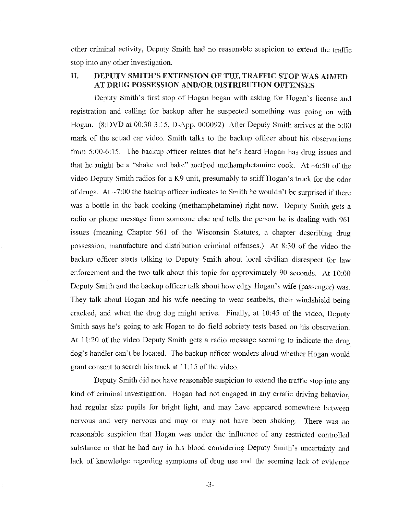other criminal activity, Deputy Smith had no reasonable suspicion to extend the traffic stop into any other investigation.

## II. DEPUTY SMITH'S EXTENSION OF THE TRAFFIC STOP WAS AIMED AT DRUG POSSESSION AND/OR DISTRIBUTION OFFENSES

Deputy Smith's first stop of Hogan began with asking for Hogan's license and registration and calling for backup after he suspected something was going on with Hogan. (8:DVD at 00:30-3:15, D-App. 000092) After Deputy Smith arrives at the 5:00 mark of the squad car video. Smith talks to the backup officer about his observations from 5:00-6:15. The backup officer relates that he's heard Hogan has drug issues and that he might be a "shake and bake" method methamphetamine cook. At  $\sim 6:50$  of the video Deputy Smith radios for a K9 unit, presumably to sniff Hogan's truck for the odor of drugs. At  $\sim$ 7:00 the backup officer indicates to Smith he wouldn't be surprised if there was a bottle in the back cooking (methamphetamine) right now. Deputy Smith gets a radio or phone message from someone else and tells the person he is dealing with 961 issues (meaning Chapter 961 of the Wisconsin Statutes, a chapter describing drug possession, manufacture and distribution criminal offenses.) At 8:30 of the video the backup officer starts talking to Deputy Smith about local civilian disrespect for law enforcement and the two talk about this topic for approximately 90 seconds. At 10:00 Deputy Smith and the backup officer talk about how edgy Hogan's wife (passenger) was. They talk about Hogan and his wife needing to wear seatbelts, their windshield being cracked, and when the drug dog might arrive. Finally, at 10:45 of the video, Deputy Smith says he's going to ask Hogan to do field sobriety tests based on his observation. At 11 :20 of the video Deputy Smith gets a radio message seeming to indicate the drug dog's handler can't be located. The backup officer wonders aloud whether Hogan would grant consent to search his truck at 11 :15 of the video.

Deputy Smith did not have reasonable suspicion to extend the traffic stop into any kind of criminal investigation. Hogan had not engaged in any erratic driving behavior, had regular size pupils for bright light, and may have appeared somewhere between nervous and very nervous and may or may not have been shaking. There was no reasonable suspicion that Hogan was under the influence of any restricted controlled substance or that he had any in his blood considering Deputy Smith's uncertainty and lack of knowledge regarding symptoms of drug use and the seeming lack of evidence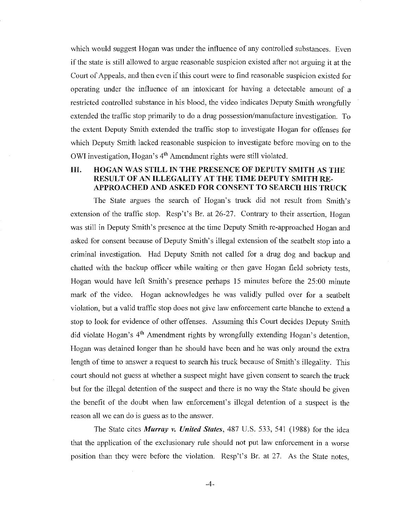which would suggest Hogan was under the influence of any controlled substances. Even if the state is still allowed to argue reasonable suspicion existed after not arguing it at the Court of Appeals, and then even if this court were to find reasonable suspicion existed for operating under the influence of an intoxicant for having a detectable amount of a restricted controlled substance in his blood, the video indicates Deputy Smith wrongfully extended the traffic stop primarily to do a drug possession/manufacture investigation. To the extent Deputy Smith extended the traffic stop to investigate Hogan for offenses for which Deputy Smith lacked reasonable suspicion to investigate before moving on to the OWI investigation, Hogan's 4th Amendment rights were still violated.

## UL HOGAN WAS STILL IN THE PRESENCE OF DEPUTY SMITH AS THE RESULT OF AN ILLEGALITY AT THE TIME DEPUTY SMITH RE-APPROACHED AND ASKED FOR CONSENT TO SEARCH HIS TRUCK

The State argues the search of Hogan's truck did not result from Smith's extension of the traffic stop. Resp't's Br. at 26-27. Contrary to their assertion, Hogan was still in Deputy Smith's presence at the time Deputy Smith re-approached Hogan and asked for consent because of Deputy Smith's illegal extension of the seatbelt stop into a criminal investigation. Had Deputy Smith not called for a drug dog and backup and chatted with the backup officer while waiting or then gave Hogan field sobriety tests, Hogan would have left Smith's presence perhaps 15 minutes before the 25:00 minute mark of the video. Hogan acknowledges he was validly pulled over for a seatbelt violation, but a valid traffic stop does not give law enforcement carte blanche to extend a stop to look for evidence of other offenses. Assuming this Court decides Depnty Smith did violate Hogan's 4<sup>th</sup> Amendment rights by wrongfully extending Hogan's detention, Hogan was detained longer than he should have been and he was only around the extra length of time to answer a request to search his truck because of Smith's illegality. This court should not guess at whether a suspect might have given consent to search the truck but for the illegal detention of the suspect and there is no way the State should be given the benefit of the doubt when law enforcement's illegal detention of a suspect is the reason all we can do is guess as to the answer.

The State cites *Murray v. United States,* 487 U.S. 533, 541 (1988) for the idea that the application of the exclusionary rule should not put law enforcement in a worse position than they were before the violation. Resp't's Br. at 27. As the State notes,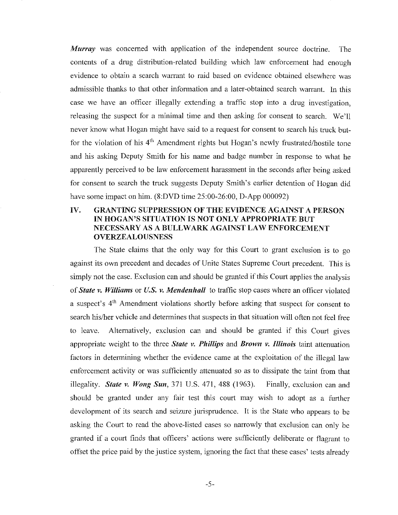*Murray* was concerned with application of the independent source doctrine. The contents of a drug distribution-related building which law enforcement had enough evidence to obtain a search warrant to raid based on evidence obtained elsewhere was admissible thanks to that other information and a later-obtained search warrant. In this case we have an officer illegally extending a traffic stop into a drug investigation, releasing the suspect for a minimal time and then asking for consent to search. We'll never know what Hogan might have said to a request for consent to search his truck butfor the violation of his 4<sup>th</sup> Amendment rights but Hogan's newly frustrated/hostile tone and his asking Deputy Smith for his name and badge number in response to what he apparently perceived to be law enforcement harassment in the seconds after being asked for consent to search the truck suggests Deputy Smith's earlier detention of Hogan did have some impact on him. (8:DVD time 25:00-26:00, D-App 000092)

## IV. GRANTING SUPPRESSION OF THE EVIDENCE AGAINST A PERSON IN HOGAN'S SITUATION IS NOT ONLY APPROPRIATE BUT NECESSARY AS A BULL WARK AGAINST LAW ENFORCEMENT OVERZEALOUSNESS

The State claims that the only way for this Court to grant exclusion is to go against its own precedent and decades of Unite States Supreme Court precedent. This is simply not the case. Exclusion can and should be granted if this Court applies the analysis of *State v. Williams* or *U.S. v. Mendenhall* to traffic stop cases where an officer violated a suspect's 4th Amendment violations shortly before asking that suspect for consent to search his/her vehicle and determines that suspects in that situation will often not feel free to leave. Alternatively, exclusion can and should be granted if this Court gives appropriate weight to the three *State v. Phillips* and *Brown v. Illinois* taint attenuation factors in determining whether the evidence came at the exploitation of the illegal law enforcement activity or was sufficiently attenuated so as to dissipate the taint from that illegality. *State v. Wong Sun,* 371 U.S. 471, 488 (1963). Finally, exclusion can and should be granted under any fair test this court may wish to adopt as a further development of its search and seizure jurisprudence. It is the State who appears to be asking the Court to read the above-listed cases so narrowly that exclusion can only be granted if a court finds that officers' actions were sufficiently deliberate or flagrant to offset the price paid by the justice system, ignoring the fact that these cases' tests already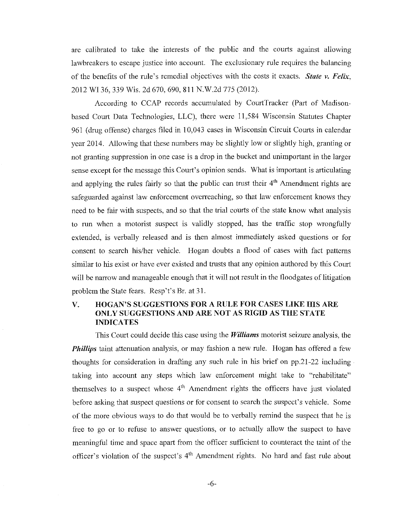are calibrated to take the interests of the public and the courts against allowing lawbreakers to escape justice into account. The exclusionary rule requires the balancing of the benefits of the rule's remedial objectives with the costs it exacts. *State v.* Felix, 2012 WI 36, 339 Wis. 2d 670, 690, 811 N.W.2d 775 (2012).

According to CCAP records accumulated by CourtTracker (Part of Madisonbased Court Data Technologies, LLC), there were 11,584 Wisconsin Statutes Chapter 961 (drug offense) charges filed in 10,043 cases in Wisconsin Circuit Courts in calendar year 2014. Allowing that these numbers may be slightly low or slightly high, granting or not granting suppression in one case is a drop in the bucket and unimportant in the larger sense except for the message this Court's opinion sends. What is important is articulating and applying the rules fairly so that the public can trust their  $4<sup>th</sup>$  Amendment rights are safeguarded against law enforcement overreaching, so that law enforcement knows they need to be fair with suspects, and so that the trial courts of the state know what analysis to run when a motorist suspect is validly stopped, has the traffic stop wrongfully extended, is verbally released and is then almost immediately asked questions or for consent to search his/her vehicle. Hogan doubts a flood of cases with fact patterns similar to his exist or have ever existed and trusts that any opinion authored by this Court will be narrow and manageable enough that it will not result in the floodgates of litigation problem the State fears. Resp't's Br. at 31.

### V. HOGAN'S SUGGESTIONS FOR A RULE FOR CASES LIKE HIS ARE ONLY SUGGESTIONS AND ARE NOT AS RIGID AS THE STATE INDICATES

This Court could decide this case using the *Williams* motorist seizure analysis, the *Phillips* taint attenuation analysis, or may fashion a new rule. Hogan has offered a few thoughts for consideration in drafting any such rule in his brief on pp.21-22 including taking into account any steps which law enforcement might take to "rehabilitate" themselves to a suspect whose  $4<sup>th</sup>$  Amendment rights the officers have just violated before asking that suspect questions or for consent to search the suspect's vehicle. Some of the more obvious ways to do that would be to verbally remind the suspect that he is free to go or to refuse to answer questions, or to actually allow the suspect to have meaningful time and space apart from the officer sufficient to counteract the taint of the officer's violation of the suspect's 4<sup>th</sup> Amendment rights. No hard and fast rule about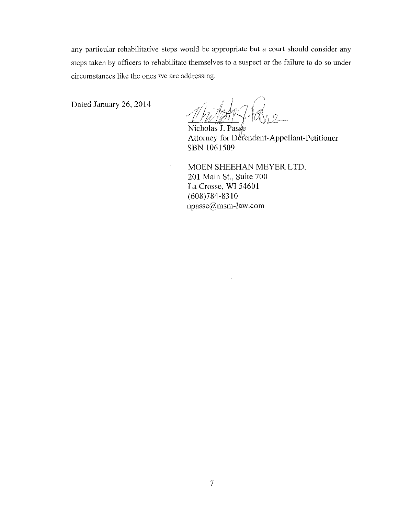any particular rehabilitative steps would be appropriate but a court should consider any steps taken by officers to rehabilitate themselves to a suspect or the failure to do so under circumstances like the ones we are addressing.

Dated January 26, 2014

 $\sim$ 

 $\bar{z}$ 

 $\bar{z}$ 

Nicholas J. Passe Attorney for Defendant-Appellant-Petitioner SBN 1061509

MOEN SHEEHAN MEYER LTD. 201 Main St., Suite 700 La Crosse, WI 54601 (608)784-8310 npasse@msm-law.com